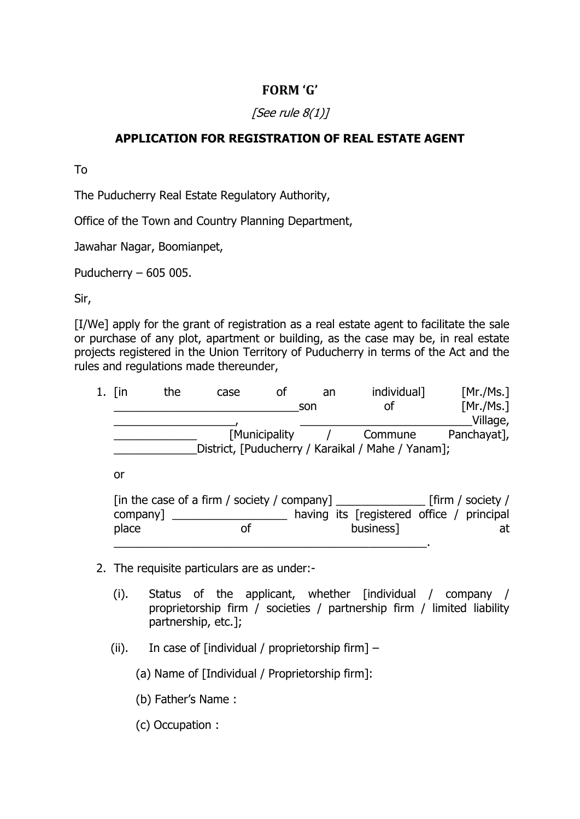## **FORM 'G'**

## [See rule  $8(1)$ ]

## **APPLICATION FOR REGISTRATION OF REAL ESTATE AGENT**

To

The Puducherry Real Estate Regulatory Authority,

Office of the Town and Country Planning Department,

Jawahar Nagar, Boomianpet,

Puducherry – 605 005.

Sir,

[I/We] apply for the grant of registration as a real estate agent to facilitate the sale or purchase of any plot, apartment or building, as the case may be, in real estate projects registered in the Union Territory of Puducherry in terms of the Act and the rules and regulations made thereunder,

| 1. [in | the | case | οf            | an. | individual]                                       | [Mr./Ms.]   |
|--------|-----|------|---------------|-----|---------------------------------------------------|-------------|
|        |     |      |               | son | оf                                                | [Mr./Ms.]   |
|        |     |      |               |     |                                                   | Village,    |
|        |     |      | [Municipality |     | Commune                                           | Panchayat], |
|        |     |      |               |     | District, [Puducherry / Karaikal / Mahe / Yanam]; |             |
| or     |     |      |               |     |                                                   |             |

|          | $\lceil$ in the case of a firm / society / company $\rceil$ |                                           | $\_$ [firm / society / |
|----------|-------------------------------------------------------------|-------------------------------------------|------------------------|
| company] |                                                             | having its [registered office / principal |                        |
| place    |                                                             | business]                                 | at                     |
|          |                                                             |                                           |                        |

- 2. The requisite particulars are as under:-
	- (i). Status of the applicant, whether [individual / company / proprietorship firm / societies / partnership firm / limited liability partnership, etc.];
	- (ii). In case of [individual / proprietorship firm]  $-$

(a) Name of [Individual / Proprietorship firm]:

- (b) Father's Name :
- (c) Occupation :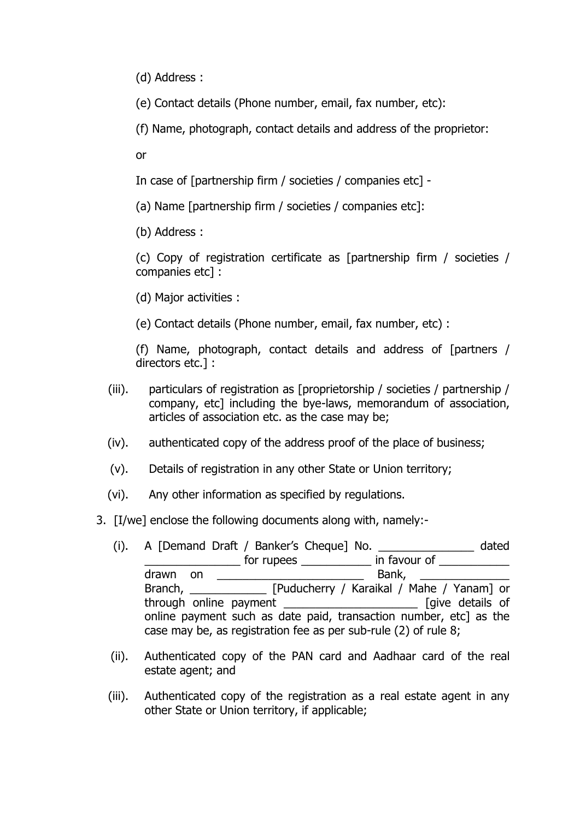(d) Address :

(e) Contact details (Phone number, email, fax number, etc):

(f) Name, photograph, contact details and address of the proprietor:

or

In case of [partnership firm / societies / companies etc] -

(a) Name [partnership firm / societies / companies etc]:

(b) Address :

(c) Copy of registration certificate as [partnership firm / societies / companies etc] :

(d) Major activities :

(e) Contact details (Phone number, email, fax number, etc) :

(f) Name, photograph, contact details and address of [partners / directors etc.] :

- (iii). particulars of registration as [proprietorship / societies / partnership / company, etc] including the bye-laws, memorandum of association, articles of association etc. as the case may be;
- (iv). authenticated copy of the address proof of the place of business;
- (v). Details of registration in any other State or Union territory;
- (vi). Any other information as specified by regulations.
- 3. [I/we] enclose the following documents along with, namely:-
	- (i). A [Demand Draft / Banker's Cheque] No. \_\_\_\_\_\_\_\_\_\_\_\_\_\_\_ dated \_\_\_\_\_\_\_\_\_\_\_\_\_\_\_\_\_\_\_\_\_\_\_ for rupees \_\_\_\_\_\_\_\_\_\_\_\_\_\_\_ in favour of \_\_\_\_\_\_\_\_\_\_\_\_\_\_\_\_ drawn on \_\_\_\_\_\_\_\_\_\_\_\_\_\_\_\_\_\_\_\_\_\_\_ Bank, \_\_\_\_\_\_\_\_\_\_\_\_\_\_ Branch, Fuducherry / Karaikal / Mahe / Yanam] or through online payment \_\_\_\_\_\_\_\_\_\_\_\_\_\_\_\_\_\_\_\_\_ [give details of online payment such as date paid, transaction number, etc] as the case may be, as registration fee as per sub-rule (2) of rule 8;
	- (ii). Authenticated copy of the PAN card and Aadhaar card of the real estate agent; and
	- (iii). Authenticated copy of the registration as a real estate agent in any other State or Union territory, if applicable;